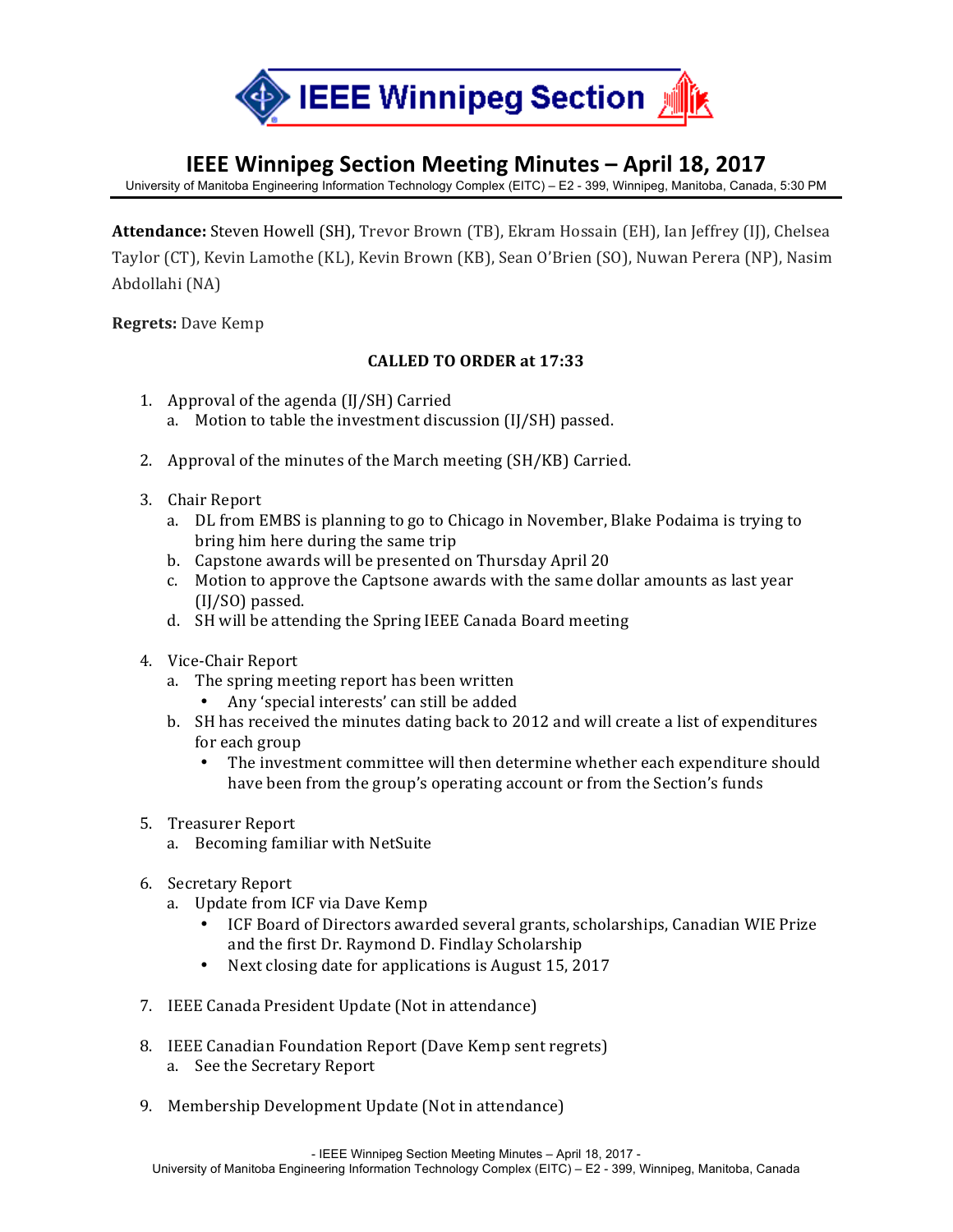

## **IEEE Winnipeg Section Meeting Minutes – April 18, 2017**

University of Manitoba Engineering Information Technology Complex (EITC) – E2 - 399, Winnipeg, Manitoba, Canada, 5:30 PM

Attendance: Steven Howell (SH), Trevor Brown (TB), Ekram Hossain (EH), Ian Jeffrey (IJ), Chelsea Taylor (CT), Kevin Lamothe (KL), Kevin Brown (KB), Sean O'Brien (SO), Nuwan Perera (NP), Nasim Abdollahi (NA)

**Regrets:** Dave Kemp

## **CALLED TO ORDER at 17:33**

- 1. Approval of the agenda  $\text{[I]/SH]}$  Carried
	- a. Motion to table the investment discussion (IJ/SH) passed.
- 2. Approval of the minutes of the March meeting (SH/KB) Carried.
- 3. Chair Report
	- a. DL from EMBS is planning to go to Chicago in November, Blake Podaima is trying to bring him here during the same trip
	- b. Capstone awards will be presented on Thursday April 20
	- c. Motion to approve the Captsone awards with the same dollar amounts as last year (IJ/SO) passed.
	- d. SH will be attending the Spring IEEE Canada Board meeting
- 4. Vice-Chair Report
	- a. The spring meeting report has been written
		- Any 'special interests' can still be added
	- b. SH has received the minutes dating back to 2012 and will create a list of expenditures for each group
		- The investment committee will then determine whether each expenditure should have been from the group's operating account or from the Section's funds
- 5. Treasurer Report
	- a. Becoming familiar with NetSuite
- 6. Secretary Report
	- a. Update from ICF via Dave Kemp
		- ICF Board of Directors awarded several grants, scholarships, Canadian WIE Prize and the first Dr. Raymond D. Findlay Scholarship
		- Next closing date for applications is August 15, 2017
- 7. IEEE Canada President Update (Not in attendance)
- 8. IEEE Canadian Foundation Report (Dave Kemp sent regrets) a. See the Secretary Report
- 9. Membership Development Update (Not in attendance)